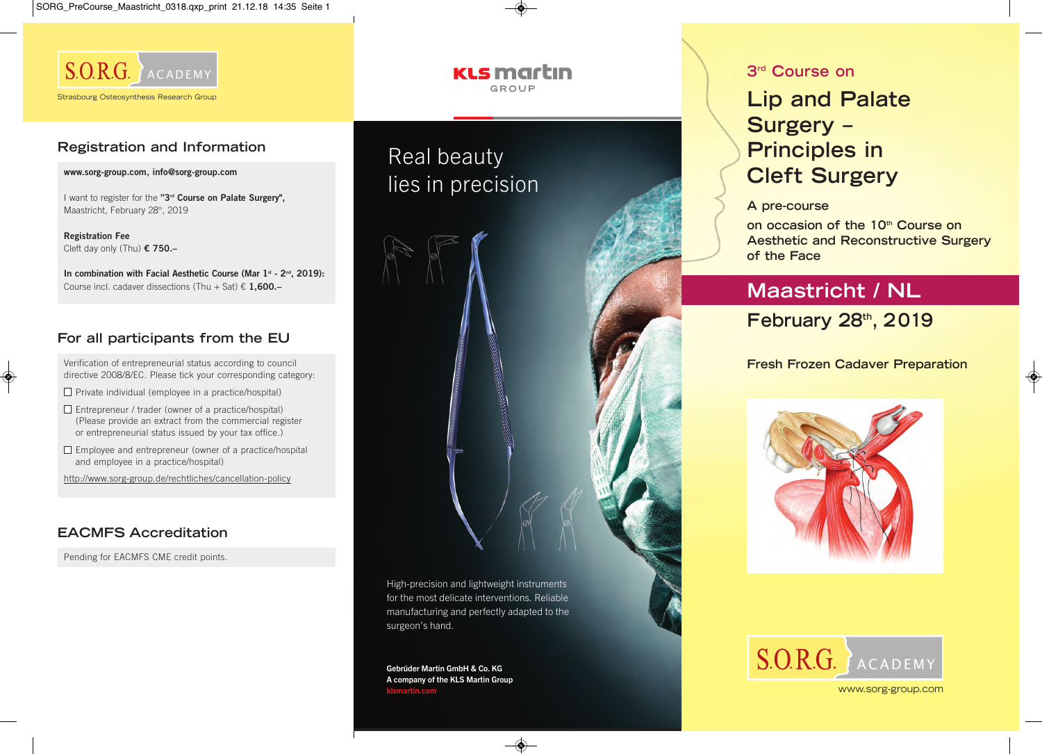

## **Registration and Information**

**www.sorg-group.com, info@sorg-group.com**

I want to register for the **"3rd Course on Palate Surgery",** Maastricht, February 28th, 2019

**Registration Fee** Cleft day only (Thu) **€ 750.–**

In combination with Facial Aesthetic Course (Mar 1<sup>st</sup> - 2<sup>nd</sup>, 2019): Course incl. cadaver dissections (Thu + Sat) € **1,600.–**

## **For all participants from the EU**

Verification of entrepreneurial status according to council directive 2008/8/EC. Please tick your corresponding category:

- $\Box$  Private individual (employee in a practice/hospital)
- $\Box$  Entrepreneur / trader (owner of a practice/hospital) (Please provide an extract from the commercial register or entrepreneurial status issued by your tax office.)
- $\Box$  Employee and entrepreneur (owner of a practice/hospital and employee in a practice/hospital)

http://www.sorg-group.de/rechtliches/cancellation-policy

## **EACMFS Accreditation**

Pending for EACMFS CME credit points.

### **KLS martin** GROUP

# Real beauty lies in precision



Gebrüder Martin GmbH & Co. KG A company of the KLS Martin Group klsmartin.com

### **3rd Course on**

## **Lip and Palate Surgery – Principles in Cleft Surgery**

#### **A pre-course**

**on occasion of the 10th Course on Aesthetic and Reconstructive Surgery of the Face** 

## **Maastricht / NL**

**February 28th, 2019** 

### **Fresh Frozen Cadaver Preparation**





www.sorg-group.com